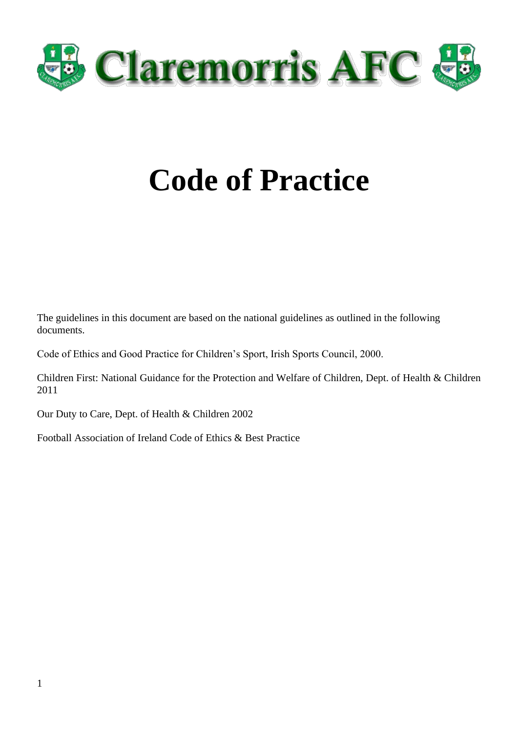

# **Code of Practice**

The guidelines in this document are based on the national guidelines as outlined in the following documents.

Code of Ethics and Good Practice for Children's Sport, Irish Sports Council, 2000.

Children First: National Guidance for the Protection and Welfare of Children, Dept. of Health & Children 2011

Our Duty to Care, Dept. of Health & Children 2002

Football Association of Ireland Code of Ethics & Best Practice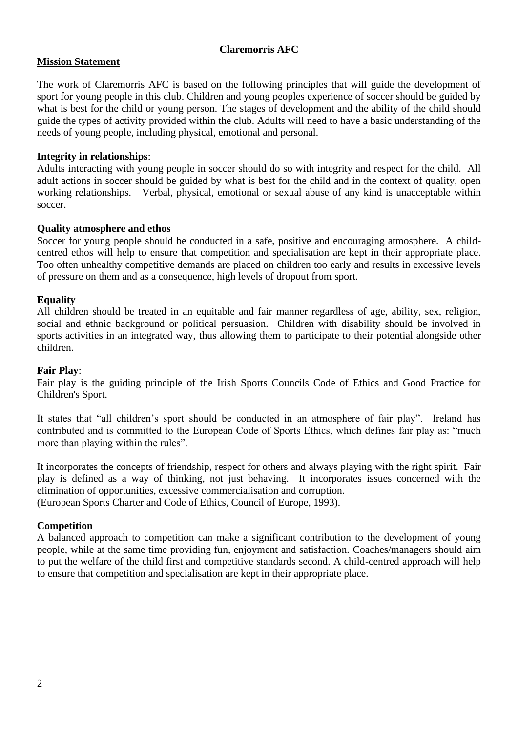## **Mission Statement**

The work of Claremorris AFC is based on the following principles that will guide the development of sport for young people in this club. Children and young peoples experience of soccer should be guided by what is best for the child or young person. The stages of development and the ability of the child should guide the types of activity provided within the club. Adults will need to have a basic understanding of the needs of young people, including physical, emotional and personal.

#### **Integrity in relationships**:

Adults interacting with young people in soccer should do so with integrity and respect for the child. All adult actions in soccer should be guided by what is best for the child and in the context of quality, open working relationships. Verbal, physical, emotional or sexual abuse of any kind is unacceptable within soccer.

#### **Quality atmosphere and ethos**

Soccer for young people should be conducted in a safe, positive and encouraging atmosphere. A childcentred ethos will help to ensure that competition and specialisation are kept in their appropriate place. Too often unhealthy competitive demands are placed on children too early and results in excessive levels of pressure on them and as a consequence, high levels of dropout from sport.

#### **Equality**

All children should be treated in an equitable and fair manner regardless of age, ability, sex, religion, social and ethnic background or political persuasion. Children with disability should be involved in sports activities in an integrated way, thus allowing them to participate to their potential alongside other children.

#### **Fair Play**:

Fair play is the guiding principle of the Irish Sports Councils Code of Ethics and Good Practice for Children's Sport.

It states that "all children's sport should be conducted in an atmosphere of fair play". Ireland has contributed and is committed to the European Code of Sports Ethics, which defines fair play as: "much more than playing within the rules".

It incorporates the concepts of friendship, respect for others and always playing with the right spirit. Fair play is defined as a way of thinking, not just behaving. It incorporates issues concerned with the elimination of opportunities, excessive commercialisation and corruption.

(European Sports Charter and Code of Ethics, Council of Europe, 1993).

#### **Competition**

A balanced approach to competition can make a significant contribution to the development of young people, while at the same time providing fun, enjoyment and satisfaction. Coaches/managers should aim to put the welfare of the child first and competitive standards second. A child-centred approach will help to ensure that competition and specialisation are kept in their appropriate place.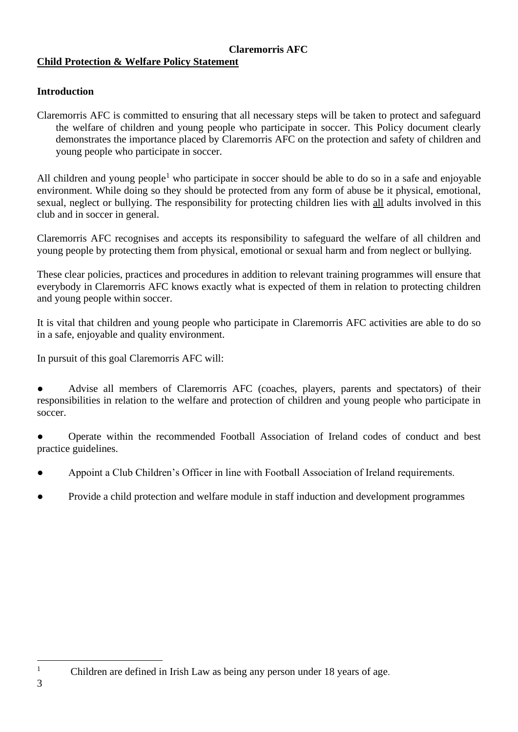#### **Claremorris AFC Child Protection & Welfare Policy Statement**

# **Introduction**

Claremorris AFC is committed to ensuring that all necessary steps will be taken to protect and safeguard the welfare of children and young people who participate in soccer. This Policy document clearly demonstrates the importance placed by Claremorris AFC on the protection and safety of children and young people who participate in soccer.

All children and young people<sup>1</sup> who participate in soccer should be able to do so in a safe and enjoyable environment. While doing so they should be protected from any form of abuse be it physical, emotional, sexual, neglect or bullying. The responsibility for protecting children lies with all adults involved in this club and in soccer in general.

Claremorris AFC recognises and accepts its responsibility to safeguard the welfare of all children and young people by protecting them from physical, emotional or sexual harm and from neglect or bullying.

These clear policies, practices and procedures in addition to relevant training programmes will ensure that everybody in Claremorris AFC knows exactly what is expected of them in relation to protecting children and young people within soccer.

It is vital that children and young people who participate in Claremorris AFC activities are able to do so in a safe, enjoyable and quality environment.

In pursuit of this goal Claremorris AFC will:

Advise all members of Claremorris AFC (coaches, players, parents and spectators) of their responsibilities in relation to the welfare and protection of children and young people who participate in soccer.

Operate within the recommended Football Association of Ireland codes of conduct and best practice guidelines.

- Appoint a Club Children's Officer in line with Football Association of Ireland requirements.
- Provide a child protection and welfare module in staff induction and development programmes

<sup>&</sup>lt;sup>1</sup> Children are defined in Irish Law as being any person under 18 years of age.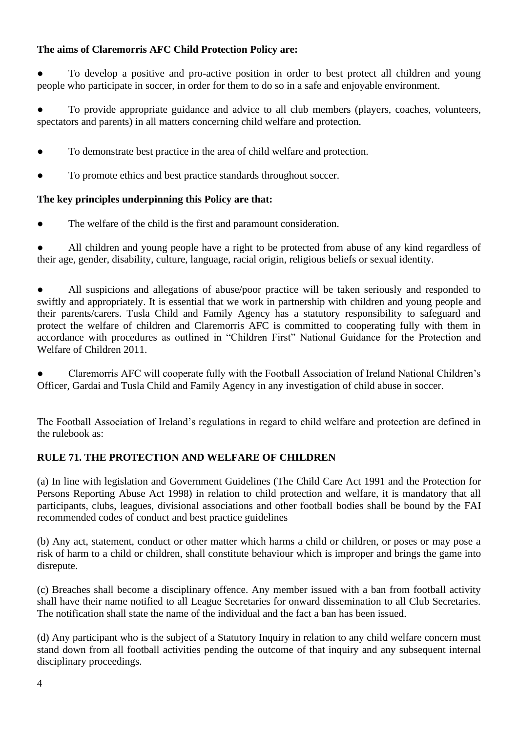# **The aims of Claremorris AFC Child Protection Policy are:**

To develop a positive and pro-active position in order to best protect all children and young people who participate in soccer, in order for them to do so in a safe and enjoyable environment.

To provide appropriate guidance and advice to all club members (players, coaches, volunteers, spectators and parents) in all matters concerning child welfare and protection.

- To demonstrate best practice in the area of child welfare and protection.
- To promote ethics and best practice standards throughout soccer.

# **The key principles underpinning this Policy are that:**

● The welfare of the child is the first and paramount consideration.

All children and young people have a right to be protected from abuse of any kind regardless of their age, gender, disability, culture, language, racial origin, religious beliefs or sexual identity.

All suspicions and allegations of abuse/poor practice will be taken seriously and responded to swiftly and appropriately. It is essential that we work in partnership with children and young people and their parents/carers. Tusla Child and Family Agency has a statutory responsibility to safeguard and protect the welfare of children and Claremorris AFC is committed to cooperating fully with them in accordance with procedures as outlined in "Children First" National Guidance for the Protection and Welfare of Children 2011.

Claremorris AFC will cooperate fully with the Football Association of Ireland National Children's Officer, Gardai and Tusla Child and Family Agency in any investigation of child abuse in soccer.

The Football Association of Ireland's regulations in regard to child welfare and protection are defined in the rulebook as:

# **RULE 71. THE PROTECTION AND WELFARE OF CHILDREN**

(a) In line with legislation and Government Guidelines (The Child Care Act 1991 and the Protection for Persons Reporting Abuse Act 1998) in relation to child protection and welfare, it is mandatory that all participants, clubs, leagues, divisional associations and other football bodies shall be bound by the FAI recommended codes of conduct and best practice guidelines

(b) Any act, statement, conduct or other matter which harms a child or children, or poses or may pose a risk of harm to a child or children, shall constitute behaviour which is improper and brings the game into disrepute.

(c) Breaches shall become a disciplinary offence. Any member issued with a ban from football activity shall have their name notified to all League Secretaries for onward dissemination to all Club Secretaries. The notification shall state the name of the individual and the fact a ban has been issued.

(d) Any participant who is the subject of a Statutory Inquiry in relation to any child welfare concern must stand down from all football activities pending the outcome of that inquiry and any subsequent internal disciplinary proceedings.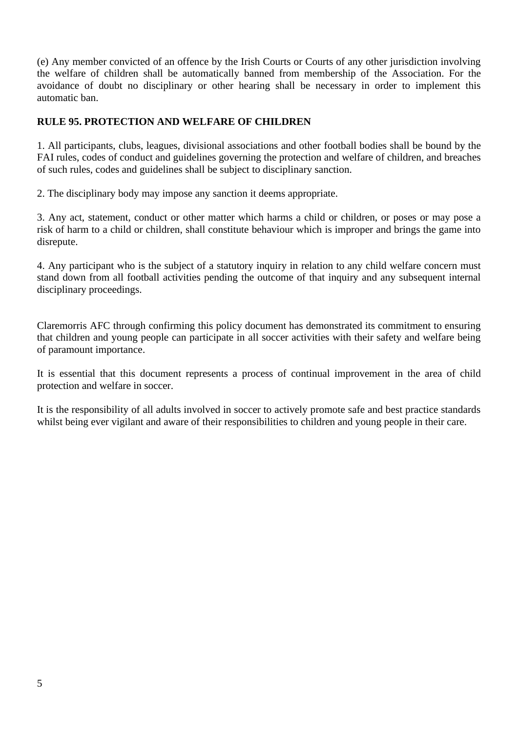(e) Any member convicted of an offence by the Irish Courts or Courts of any other jurisdiction involving the welfare of children shall be automatically banned from membership of the Association. For the avoidance of doubt no disciplinary or other hearing shall be necessary in order to implement this automatic ban.

# **RULE 95. PROTECTION AND WELFARE OF CHILDREN**

1. All participants, clubs, leagues, divisional associations and other football bodies shall be bound by the FAI rules, codes of conduct and guidelines governing the protection and welfare of children, and breaches of such rules, codes and guidelines shall be subject to disciplinary sanction.

2. The disciplinary body may impose any sanction it deems appropriate.

3. Any act, statement, conduct or other matter which harms a child or children, or poses or may pose a risk of harm to a child or children, shall constitute behaviour which is improper and brings the game into disrepute.

4. Any participant who is the subject of a statutory inquiry in relation to any child welfare concern must stand down from all football activities pending the outcome of that inquiry and any subsequent internal disciplinary proceedings.

Claremorris AFC through confirming this policy document has demonstrated its commitment to ensuring that children and young people can participate in all soccer activities with their safety and welfare being of paramount importance.

It is essential that this document represents a process of continual improvement in the area of child protection and welfare in soccer.

It is the responsibility of all adults involved in soccer to actively promote safe and best practice standards whilst being ever vigilant and aware of their responsibilities to children and young people in their care.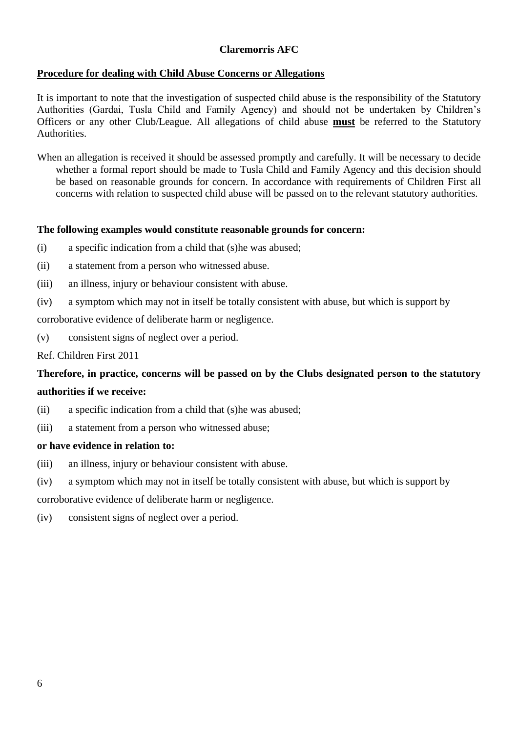# **Procedure for dealing with Child Abuse Concerns or Allegations**

It is important to note that the investigation of suspected child abuse is the responsibility of the Statutory Authorities (Gardai, Tusla Child and Family Agency) and should not be undertaken by Children's Officers or any other Club/League. All allegations of child abuse **must** be referred to the Statutory Authorities.

When an allegation is received it should be assessed promptly and carefully. It will be necessary to decide whether a formal report should be made to Tusla Child and Family Agency and this decision should be based on reasonable grounds for concern. In accordance with requirements of Children First all concerns with relation to suspected child abuse will be passed on to the relevant statutory authorities.

# **The following examples would constitute reasonable grounds for concern:**

- (i) a specific indication from a child that (s)he was abused;
- (ii) a statement from a person who witnessed abuse.
- (iii) an illness, injury or behaviour consistent with abuse.
- (iv) a symptom which may not in itself be totally consistent with abuse, but which is support by

corroborative evidence of deliberate harm or negligence.

(v) consistent signs of neglect over a period.

Ref. Children First 2011

# **Therefore, in practice, concerns will be passed on by the Clubs designated person to the statutory authorities if we receive:**

- (ii) a specific indication from a child that (s)he was abused;
- (iii) a statement from a person who witnessed abuse;

#### **or have evidence in relation to:**

- (iii) an illness, injury or behaviour consistent with abuse.
- (iv) a symptom which may not in itself be totally consistent with abuse, but which is support by

corroborative evidence of deliberate harm or negligence.

(iv) consistent signs of neglect over a period.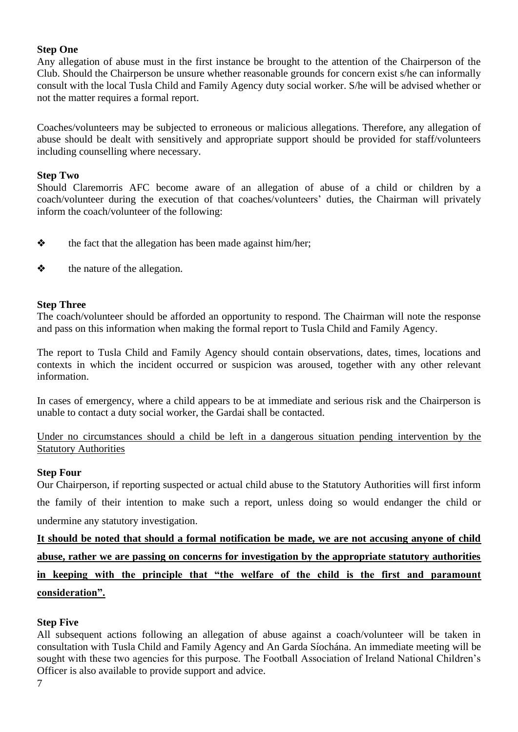## **Step One**

Any allegation of abuse must in the first instance be brought to the attention of the Chairperson of the Club. Should the Chairperson be unsure whether reasonable grounds for concern exist s/he can informally consult with the local Tusla Child and Family Agency duty social worker. S/he will be advised whether or not the matter requires a formal report.

Coaches/volunteers may be subjected to erroneous or malicious allegations. Therefore, any allegation of abuse should be dealt with sensitively and appropriate support should be provided for staff/volunteers including counselling where necessary.

#### **Step Two**

Should Claremorris AFC become aware of an allegation of abuse of a child or children by a coach/volunteer during the execution of that coaches/volunteers' duties, the Chairman will privately inform the coach/volunteer of the following:

- $\triangle$  the fact that the allegation has been made against him/her;
- ❖ the nature of the allegation.

#### **Step Three**

The coach/volunteer should be afforded an opportunity to respond. The Chairman will note the response and pass on this information when making the formal report to Tusla Child and Family Agency.

The report to Tusla Child and Family Agency should contain observations, dates, times, locations and contexts in which the incident occurred or suspicion was aroused, together with any other relevant information.

In cases of emergency, where a child appears to be at immediate and serious risk and the Chairperson is unable to contact a duty social worker, the Gardai shall be contacted.

Under no circumstances should a child be left in a dangerous situation pending intervention by the **Statutory Authorities** 

#### **Step Four**

Our Chairperson, if reporting suspected or actual child abuse to the Statutory Authorities will first inform the family of their intention to make such a report, unless doing so would endanger the child or undermine any statutory investigation.

**It should be noted that should a formal notification be made, we are not accusing anyone of child abuse, rather we are passing on concerns for investigation by the appropriate statutory authorities in keeping with the principle that "the welfare of the child is the first and paramount consideration".**

# **Step Five**

All subsequent actions following an allegation of abuse against a coach/volunteer will be taken in consultation with Tusla Child and Family Agency and An Garda Síochána. An immediate meeting will be sought with these two agencies for this purpose. The Football Association of Ireland National Children's Officer is also available to provide support and advice.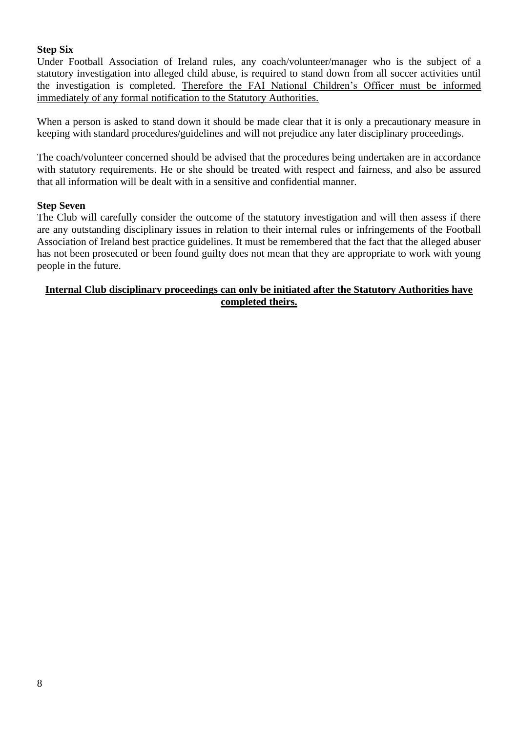# **Step Six**

Under Football Association of Ireland rules, any coach/volunteer/manager who is the subject of a statutory investigation into alleged child abuse, is required to stand down from all soccer activities until the investigation is completed. Therefore the FAI National Children's Officer must be informed immediately of any formal notification to the Statutory Authorities.

When a person is asked to stand down it should be made clear that it is only a precautionary measure in keeping with standard procedures/guidelines and will not prejudice any later disciplinary proceedings.

The coach/volunteer concerned should be advised that the procedures being undertaken are in accordance with statutory requirements. He or she should be treated with respect and fairness, and also be assured that all information will be dealt with in a sensitive and confidential manner.

#### **Step Seven**

The Club will carefully consider the outcome of the statutory investigation and will then assess if there are any outstanding disciplinary issues in relation to their internal rules or infringements of the Football Association of Ireland best practice guidelines. It must be remembered that the fact that the alleged abuser has not been prosecuted or been found guilty does not mean that they are appropriate to work with young people in the future.

#### **Internal Club disciplinary proceedings can only be initiated after the Statutory Authorities have completed theirs.**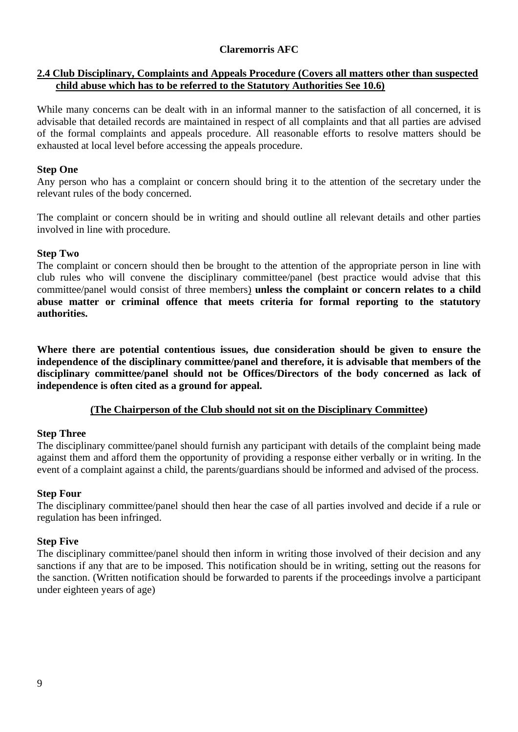# **2.4 Club Disciplinary, Complaints and Appeals Procedure (Covers all matters other than suspected child abuse which has to be referred to the Statutory Authorities See 10.6)**

While many concerns can be dealt with in an informal manner to the satisfaction of all concerned, it is advisable that detailed records are maintained in respect of all complaints and that all parties are advised of the formal complaints and appeals procedure. All reasonable efforts to resolve matters should be exhausted at local level before accessing the appeals procedure.

# **Step One**

Any person who has a complaint or concern should bring it to the attention of the secretary under the relevant rules of the body concerned.

The complaint or concern should be in writing and should outline all relevant details and other parties involved in line with procedure.

# **Step Two**

The complaint or concern should then be brought to the attention of the appropriate person in line with club rules who will convene the disciplinary committee/panel (best practice would advise that this committee/panel would consist of three members) **unless the complaint or concern relates to a child abuse matter or criminal offence that meets criteria for formal reporting to the statutory authorities.** 

**Where there are potential contentious issues, due consideration should be given to ensure the independence of the disciplinary committee/panel and therefore, it is advisable that members of the disciplinary committee/panel should not be Offices/Directors of the body concerned as lack of independence is often cited as a ground for appeal.** 

# **(The Chairperson of the Club should not sit on the Disciplinary Committee)**

# **Step Three**

The disciplinary committee/panel should furnish any participant with details of the complaint being made against them and afford them the opportunity of providing a response either verbally or in writing. In the event of a complaint against a child, the parents/guardians should be informed and advised of the process.

# **Step Four**

The disciplinary committee/panel should then hear the case of all parties involved and decide if a rule or regulation has been infringed.

# **Step Five**

The disciplinary committee/panel should then inform in writing those involved of their decision and any sanctions if any that are to be imposed. This notification should be in writing, setting out the reasons for the sanction. (Written notification should be forwarded to parents if the proceedings involve a participant under eighteen years of age)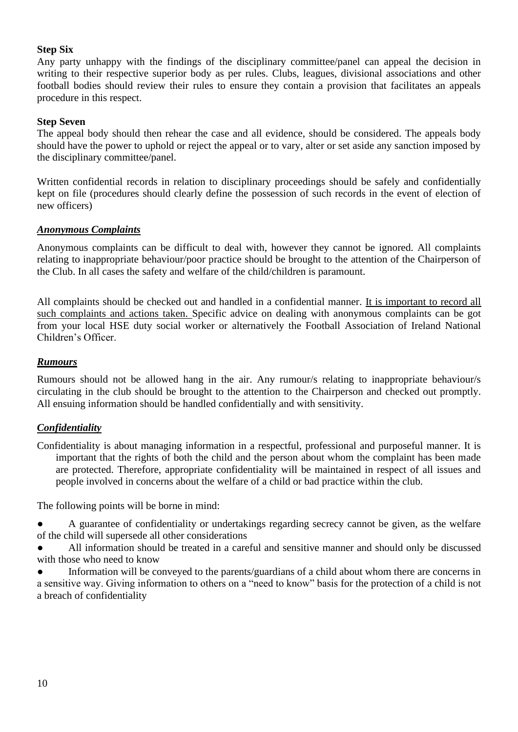# **Step Six**

Any party unhappy with the findings of the disciplinary committee/panel can appeal the decision in writing to their respective superior body as per rules. Clubs, leagues, divisional associations and other football bodies should review their rules to ensure they contain a provision that facilitates an appeals procedure in this respect.

#### **Step Seven**

The appeal body should then rehear the case and all evidence, should be considered. The appeals body should have the power to uphold or reject the appeal or to vary, alter or set aside any sanction imposed by the disciplinary committee/panel.

Written confidential records in relation to disciplinary proceedings should be safely and confidentially kept on file (procedures should clearly define the possession of such records in the event of election of new officers)

#### *Anonymous Complaints*

Anonymous complaints can be difficult to deal with, however they cannot be ignored. All complaints relating to inappropriate behaviour/poor practice should be brought to the attention of the Chairperson of the Club. In all cases the safety and welfare of the child/children is paramount.

All complaints should be checked out and handled in a confidential manner. It is important to record all such complaints and actions taken. Specific advice on dealing with anonymous complaints can be got from your local HSE duty social worker or alternatively the Football Association of Ireland National Children's Officer.

#### *Rumours*

Rumours should not be allowed hang in the air. Any rumour/s relating to inappropriate behaviour/s circulating in the club should be brought to the attention to the Chairperson and checked out promptly. All ensuing information should be handled confidentially and with sensitivity.

# *Confidentiality*

Confidentiality is about managing information in a respectful, professional and purposeful manner. It is important that the rights of both the child and the person about whom the complaint has been made are protected. Therefore, appropriate confidentiality will be maintained in respect of all issues and people involved in concerns about the welfare of a child or bad practice within the club.

The following points will be borne in mind:

A guarantee of confidentiality or undertakings regarding secrecy cannot be given, as the welfare of the child will supersede all other considerations

All information should be treated in a careful and sensitive manner and should only be discussed with those who need to know

Information will be conveyed to the parents/guardians of a child about whom there are concerns in a sensitive way. Giving information to others on a "need to know" basis for the protection of a child is not a breach of confidentiality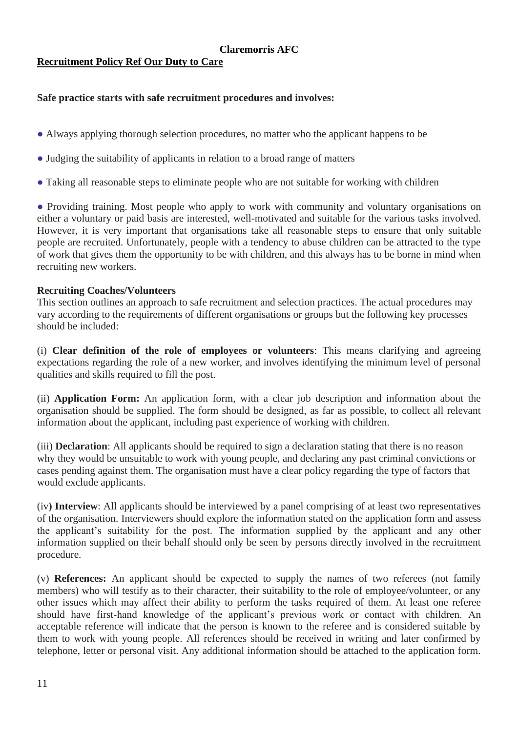# **Recruitment Policy Ref Our Duty to Care**

# **Safe practice starts with safe recruitment procedures and involves:**

- Always applying thorough selection procedures, no matter who the applicant happens to be
- Judging the suitability of applicants in relation to a broad range of matters
- Taking all reasonable steps to eliminate people who are not suitable for working with children

• Providing training. Most people who apply to work with community and voluntary organisations on either a voluntary or paid basis are interested, well-motivated and suitable for the various tasks involved. However, it is very important that organisations take all reasonable steps to ensure that only suitable people are recruited. Unfortunately, people with a tendency to abuse children can be attracted to the type of work that gives them the opportunity to be with children, and this always has to be borne in mind when recruiting new workers.

#### **Recruiting Coaches/Volunteers**

This section outlines an approach to safe recruitment and selection practices. The actual procedures may vary according to the requirements of different organisations or groups but the following key processes should be included:

(i) **Clear definition of the role of employees or volunteers**: This means clarifying and agreeing expectations regarding the role of a new worker, and involves identifying the minimum level of personal qualities and skills required to fill the post.

(ii) **Application Form:** An application form, with a clear job description and information about the organisation should be supplied. The form should be designed, as far as possible, to collect all relevant information about the applicant, including past experience of working with children.

(iii) **Declaration**: All applicants should be required to sign a declaration stating that there is no reason why they would be unsuitable to work with young people, and declaring any past criminal convictions or cases pending against them. The organisation must have a clear policy regarding the type of factors that would exclude applicants.

(iv**) Interview**: All applicants should be interviewed by a panel comprising of at least two representatives of the organisation. Interviewers should explore the information stated on the application form and assess the applicant's suitability for the post. The information supplied by the applicant and any other information supplied on their behalf should only be seen by persons directly involved in the recruitment procedure.

(v) **References:** An applicant should be expected to supply the names of two referees (not family members) who will testify as to their character, their suitability to the role of employee/volunteer, or any other issues which may affect their ability to perform the tasks required of them. At least one referee should have first-hand knowledge of the applicant's previous work or contact with children. An acceptable reference will indicate that the person is known to the referee and is considered suitable by them to work with young people. All references should be received in writing and later confirmed by telephone, letter or personal visit. Any additional information should be attached to the application form.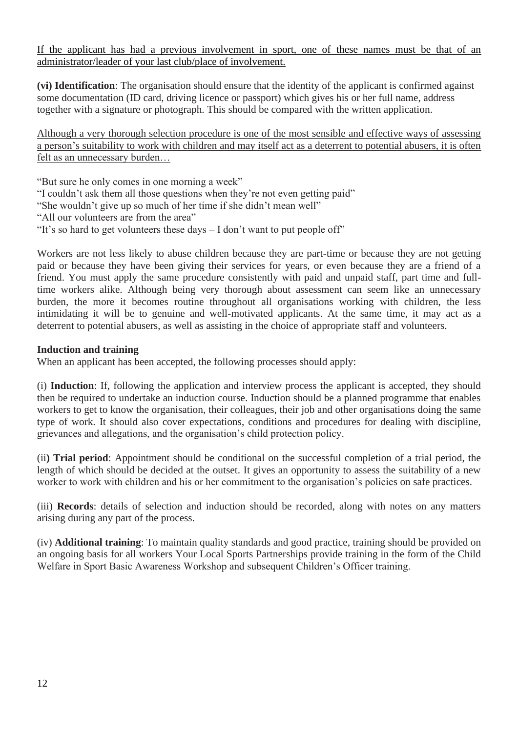If the applicant has had a previous involvement in sport, one of these names must be that of an administrator/leader of your last club/place of involvement.

**(vi) Identification**: The organisation should ensure that the identity of the applicant is confirmed against some documentation (ID card, driving licence or passport) which gives his or her full name, address together with a signature or photograph. This should be compared with the written application.

Although a very thorough selection procedure is one of the most sensible and effective ways of assessing a person's suitability to work with children and may itself act as a deterrent to potential abusers, it is often felt as an unnecessary burden…

"But sure he only comes in one morning a week"

"I couldn't ask them all those questions when they're not even getting paid"

"She wouldn't give up so much of her time if she didn't mean well"

"All our volunteers are from the area"

"It's so hard to get volunteers these days – I don't want to put people off"

Workers are not less likely to abuse children because they are part-time or because they are not getting paid or because they have been giving their services for years, or even because they are a friend of a friend. You must apply the same procedure consistently with paid and unpaid staff, part time and fulltime workers alike. Although being very thorough about assessment can seem like an unnecessary burden, the more it becomes routine throughout all organisations working with children, the less intimidating it will be to genuine and well-motivated applicants. At the same time, it may act as a deterrent to potential abusers, as well as assisting in the choice of appropriate staff and volunteers.

#### **Induction and training**

When an applicant has been accepted, the following processes should apply:

(i) **Induction**: If, following the application and interview process the applicant is accepted, they should then be required to undertake an induction course. Induction should be a planned programme that enables workers to get to know the organisation, their colleagues, their job and other organisations doing the same type of work. It should also cover expectations, conditions and procedures for dealing with discipline, grievances and allegations, and the organisation's child protection policy.

(ii**) Trial period**: Appointment should be conditional on the successful completion of a trial period, the length of which should be decided at the outset. It gives an opportunity to assess the suitability of a new worker to work with children and his or her commitment to the organisation's policies on safe practices.

(iii) **Records**: details of selection and induction should be recorded, along with notes on any matters arising during any part of the process.

(iv) **Additional training**: To maintain quality standards and good practice, training should be provided on an ongoing basis for all workers Your Local Sports Partnerships provide training in the form of the Child Welfare in Sport Basic Awareness Workshop and subsequent Children's Officer training.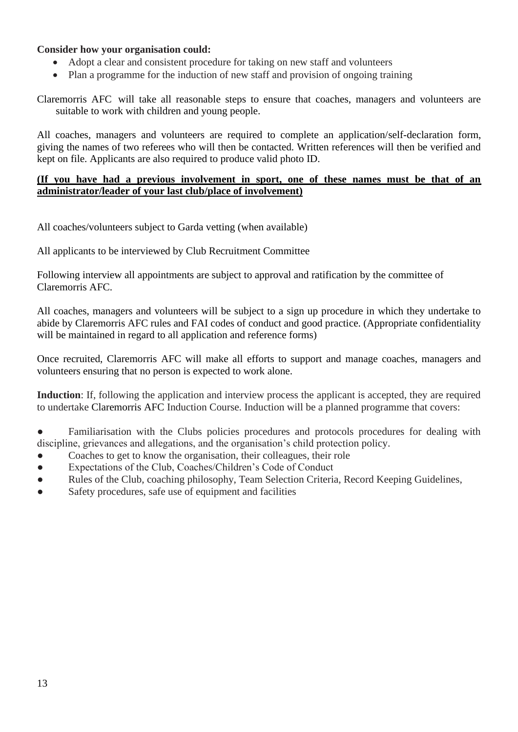## **Consider how your organisation could:**

- Adopt a clear and consistent procedure for taking on new staff and volunteers
- Plan a programme for the induction of new staff and provision of ongoing training

Claremorris AFC will take all reasonable steps to ensure that coaches, managers and volunteers are suitable to work with children and young people.

All coaches, managers and volunteers are required to complete an application/self-declaration form, giving the names of two referees who will then be contacted. Written references will then be verified and kept on file. Applicants are also required to produce valid photo ID.

#### **(If you have had a previous involvement in sport, one of these names must be that of an administrator/leader of your last club/place of involvement)**

All coaches/volunteers subject to Garda vetting (when available)

All applicants to be interviewed by Club Recruitment Committee

Following interview all appointments are subject to approval and ratification by the committee of Claremorris AFC.

All coaches, managers and volunteers will be subject to a sign up procedure in which they undertake to abide by Claremorris AFC rules and FAI codes of conduct and good practice. (Appropriate confidentiality will be maintained in regard to all application and reference forms)

Once recruited, Claremorris AFC will make all efforts to support and manage coaches, managers and volunteers ensuring that no person is expected to work alone.

Induction: If, following the application and interview process the applicant is accepted, they are required to undertake Claremorris AFC Induction Course. Induction will be a planned programme that covers:

- Familiarisation with the Clubs policies procedures and protocols procedures for dealing with discipline, grievances and allegations, and the organisation's child protection policy.
- Coaches to get to know the organisation, their colleagues, their role
- Expectations of the Club, Coaches/Children's Code of Conduct
- Rules of the Club, coaching philosophy, Team Selection Criteria, Record Keeping Guidelines,
- Safety procedures, safe use of equipment and facilities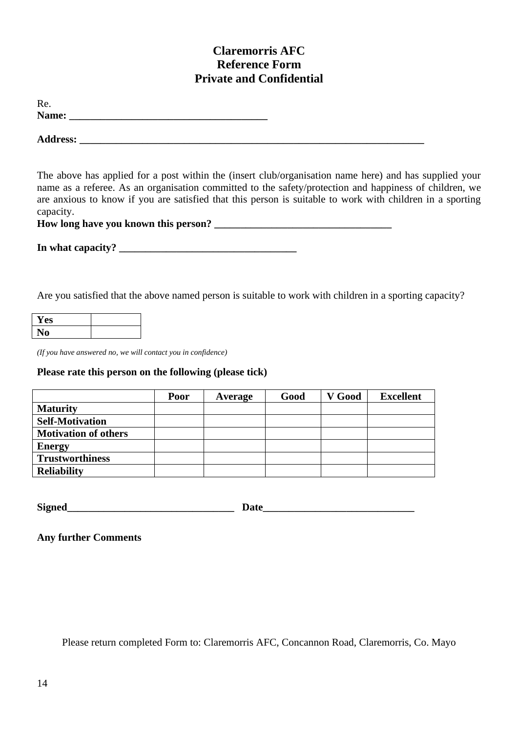# **Claremorris AFC Reference Form Private and Confidential**

| Re.   |  |  |
|-------|--|--|
| Name: |  |  |
|       |  |  |

 $\bf{Address:}$ 

The above has applied for a post within the (insert club/organisation name here) and has supplied your name as a referee. As an organisation committed to the safety/protection and happiness of children, we are anxious to know if you are satisfied that this person is suitable to work with children in a sporting capacity.

How long have you known this person?

**In what capacity? \_\_\_\_\_\_\_\_\_\_\_\_\_\_\_\_\_\_\_\_\_\_\_\_\_\_\_\_\_\_\_\_\_\_**

Are you satisfied that the above named person is suitable to work with children in a sporting capacity?

| Y es |  |
|------|--|
|      |  |

*(If you have answered no, we will contact you in confidence)*

# **Please rate this person on the following (please tick)**

|                             | <b>Poor</b> | Average | Good | V Good | <b>Excellent</b> |
|-----------------------------|-------------|---------|------|--------|------------------|
| <b>Maturity</b>             |             |         |      |        |                  |
| <b>Self-Motivation</b>      |             |         |      |        |                  |
| <b>Motivation of others</b> |             |         |      |        |                  |
| <b>Energy</b>               |             |         |      |        |                  |
| <b>Trustworthiness</b>      |             |         |      |        |                  |
| <b>Reliability</b>          |             |         |      |        |                  |

**Signed\_\_\_\_\_\_\_\_\_\_\_\_\_\_\_\_\_\_\_\_\_\_\_\_\_\_\_\_\_\_\_\_ Date\_\_\_\_\_\_\_\_\_\_\_\_\_\_\_\_\_\_\_\_\_\_\_\_\_\_\_\_\_**

**Any further Comments**

Please return completed Form to: Claremorris AFC, Concannon Road, Claremorris, Co. Mayo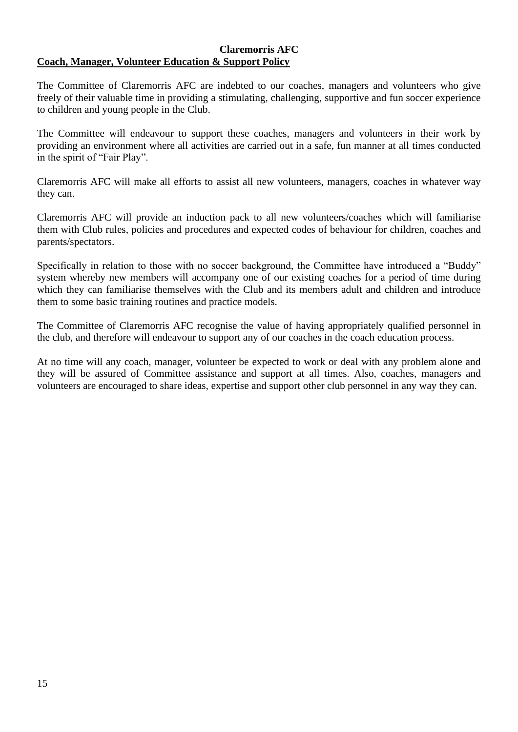#### **Claremorris AFC Coach, Manager, Volunteer Education & Support Policy**

The Committee of Claremorris AFC are indebted to our coaches, managers and volunteers who give freely of their valuable time in providing a stimulating, challenging, supportive and fun soccer experience to children and young people in the Club.

The Committee will endeavour to support these coaches, managers and volunteers in their work by providing an environment where all activities are carried out in a safe, fun manner at all times conducted in the spirit of "Fair Play".

Claremorris AFC will make all efforts to assist all new volunteers, managers, coaches in whatever way they can.

Claremorris AFC will provide an induction pack to all new volunteers/coaches which will familiarise them with Club rules, policies and procedures and expected codes of behaviour for children, coaches and parents/spectators.

Specifically in relation to those with no soccer background, the Committee have introduced a "Buddy" system whereby new members will accompany one of our existing coaches for a period of time during which they can familiarise themselves with the Club and its members adult and children and introduce them to some basic training routines and practice models.

The Committee of Claremorris AFC recognise the value of having appropriately qualified personnel in the club, and therefore will endeavour to support any of our coaches in the coach education process.

At no time will any coach, manager, volunteer be expected to work or deal with any problem alone and they will be assured of Committee assistance and support at all times. Also, coaches, managers and volunteers are encouraged to share ideas, expertise and support other club personnel in any way they can.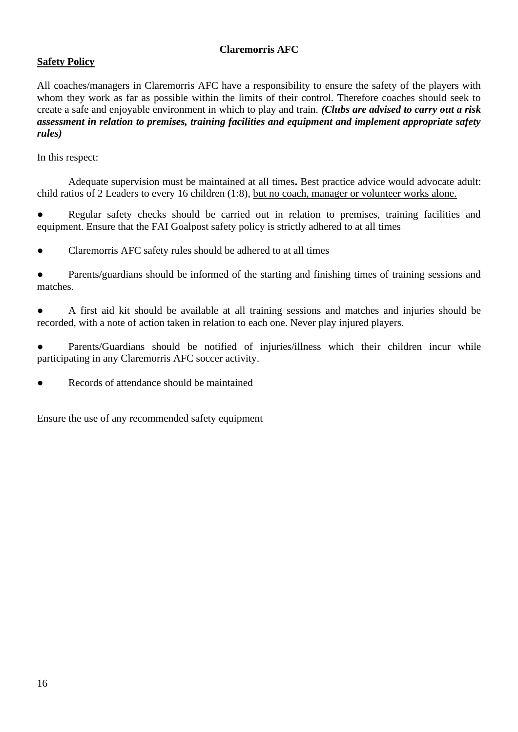# **Safety Policy**

All coaches/managers in Claremorris AFC have a responsibility to ensure the safety of the players with whom they work as far as possible within the limits of their control. Therefore coaches should seek to create a safe and enjoyable environment in which to play and train. *(Clubs are advised to carry out a risk assessment in relation to premises, training facilities and equipment and implement appropriate safety rules)*

In this respect:

Adequate supervision must be maintained at all times. Best practice advice would advocate adult: child ratios of 2 Leaders to every 16 children (1:8), but no coach, manager or volunteer works alone.

● Regular safety checks should be carried out in relation to premises, training facilities and equipment. Ensure that the FAI Goalpost safety policy is strictly adhered to at all times

Claremorris AFC safety rules should be adhered to at all times

• Parents/guardians should be informed of the starting and finishing times of training sessions and matches.

● A first aid kit should be available at all training sessions and matches and injuries should be recorded, with a note of action taken in relation to each one. Never play injured players.

Parents/Guardians should be notified of injuries/illness which their children incur while participating in any Claremorris AFC soccer activity.

Records of attendance should be maintained

Ensure the use of any recommended safety equipment.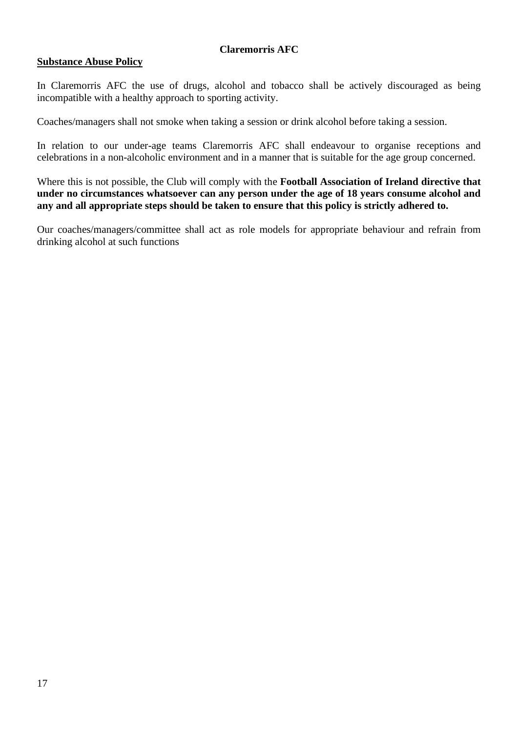#### **Substance Abuse Policy**

In Claremorris AFC the use of drugs, alcohol and tobacco shall be actively discouraged as being incompatible with a healthy approach to sporting activity.

Coaches/managers shall not smoke when taking a session or drink alcohol before taking a session.

In relation to our under-age teams Claremorris AFC shall endeavour to organise receptions and celebrations in a non-alcoholic environment and in a manner that is suitable for the age group concerned.

Where this is not possible, the Club will comply with the **Football Association of Ireland directive that under no circumstances whatsoever can any person under the age of 18 years consume alcohol and any and all appropriate steps should be taken to ensure that this policy is strictly adhered to.**

Our coaches/managers/committee shall act as role models for appropriate behaviour and refrain from drinking alcohol at such functions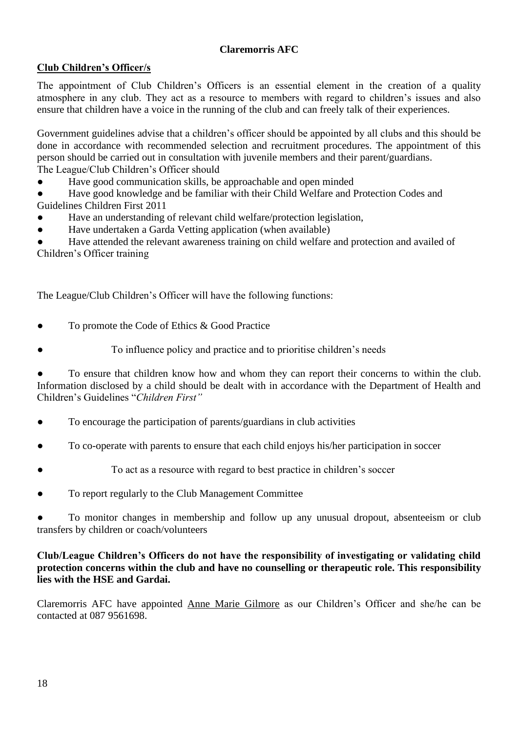# **Club Children's Officer/s**

The appointment of Club Children's Officers is an essential element in the creation of a quality atmosphere in any club. They act as a resource to members with regard to children's issues and also ensure that children have a voice in the running of the club and can freely talk of their experiences.

Government guidelines advise that a children's officer should be appointed by all clubs and this should be done in accordance with recommended selection and recruitment procedures. The appointment of this person should be carried out in consultation with juvenile members and their parent/guardians. The League/Club Children's Officer should

● Have good communication skills, be approachable and open minded

Have good knowledge and be familiar with their Child Welfare and Protection Codes and Guidelines Children First 2011

- Have an understanding of relevant child welfare/protection legislation,
- Have undertaken a Garda Vetting application (when available)

Have attended the relevant awareness training on child welfare and protection and availed of Children's Officer training

The League/Club Children's Officer will have the following functions:

- To promote the Code of Ethics & Good Practice
- To influence policy and practice and to prioritise children's needs

To ensure that children know how and whom they can report their concerns to within the club. Information disclosed by a child should be dealt with in accordance with the Department of Health and Children's Guidelines "*Children First"*

- To encourage the participation of parents/guardians in club activities
- To co-operate with parents to ensure that each child enjoys his/her participation in soccer
- To act as a resource with regard to best practice in children's soccer
- To report regularly to the Club Management Committee

To monitor changes in membership and follow up any unusual dropout, absenteeism or club transfers by children or coach/volunteers

# **Club/League Children's Officers do not have the responsibility of investigating or validating child protection concerns within the club and have no counselling or therapeutic role. This responsibility lies with the HSE and Gardai.**

Claremorris AFC have appointed Anne Marie Gilmore as our Children's Officer and she/he can be contacted at 087 9561698.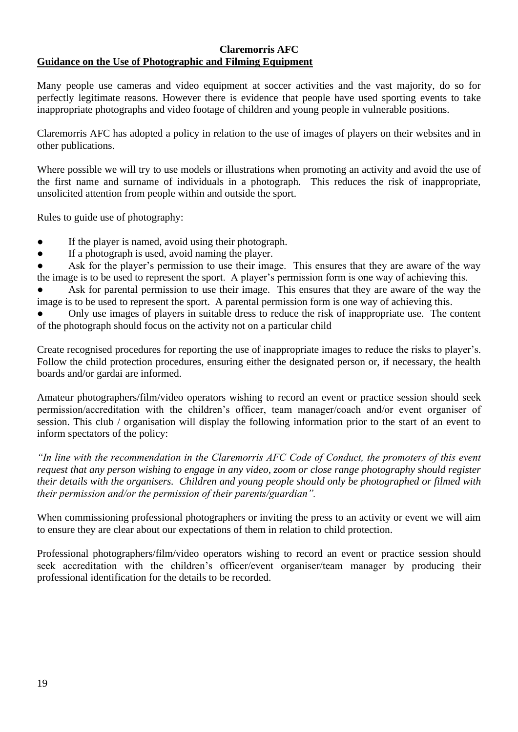#### **Claremorris AFC Guidance on the Use of Photographic and Filming Equipment**

Many people use cameras and video equipment at soccer activities and the vast majority, do so for perfectly legitimate reasons. However there is evidence that people have used sporting events to take inappropriate photographs and video footage of children and young people in vulnerable positions.

Claremorris AFC has adopted a policy in relation to the use of images of players on their websites and in other publications.

Where possible we will try to use models or illustrations when promoting an activity and avoid the use of the first name and surname of individuals in a photograph. This reduces the risk of inappropriate, unsolicited attention from people within and outside the sport.

Rules to guide use of photography:

- If the player is named, avoid using their photograph.
- If a photograph is used, avoid naming the player.

Ask for the player's permission to use their image. This ensures that they are aware of the way the image is to be used to represent the sport. A player's permission form is one way of achieving this.

Ask for parental permission to use their image. This ensures that they are aware of the way the image is to be used to represent the sport. A parental permission form is one way of achieving this.

Only use images of players in suitable dress to reduce the risk of inappropriate use. The content of the photograph should focus on the activity not on a particular child

Create recognised procedures for reporting the use of inappropriate images to reduce the risks to player's. Follow the child protection procedures, ensuring either the designated person or, if necessary, the health boards and/or gardai are informed.

Amateur photographers/film/video operators wishing to record an event or practice session should seek permission/accreditation with the children's officer, team manager/coach and/or event organiser of session. This club / organisation will display the following information prior to the start of an event to inform spectators of the policy:

*"In line with the recommendation in the Claremorris AFC Code of Conduct, the promoters of this event request that any person wishing to engage in any video, zoom or close range photography should register their details with the organisers. Children and young people should only be photographed or filmed with their permission and/or the permission of their parents/guardian".*

When commissioning professional photographers or inviting the press to an activity or event we will aim to ensure they are clear about our expectations of them in relation to child protection.

Professional photographers/film/video operators wishing to record an event or practice session should seek accreditation with the children's officer/event organiser/team manager by producing their professional identification for the details to be recorded.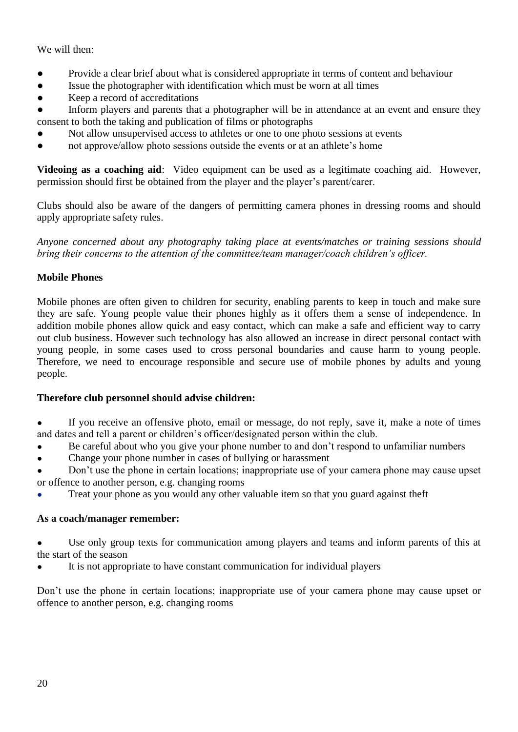# We will then:

- Provide a clear brief about what is considered appropriate in terms of content and behaviour
- Issue the photographer with identification which must be worn at all times
- Keep a record of accreditations
- Inform players and parents that a photographer will be in attendance at an event and ensure they consent to both the taking and publication of films or photographs
- Not allow unsupervised access to athletes or one to one photo sessions at events
- not approve/allow photo sessions outside the events or at an athlete's home

**Videoing as a coaching aid**: Video equipment can be used as a legitimate coaching aid. However, permission should first be obtained from the player and the player's parent/carer.

Clubs should also be aware of the dangers of permitting camera phones in dressing rooms and should apply appropriate safety rules.

*Anyone concerned about any photography taking place at events/matches or training sessions should bring their concerns to the attention of the committee/team manager/coach children's officer.*

# **Mobile Phones**

Mobile phones are often given to children for security, enabling parents to keep in touch and make sure they are safe. Young people value their phones highly as it offers them a sense of independence. In addition mobile phones allow quick and easy contact, which can make a safe and efficient way to carry out club business. However such technology has also allowed an increase in direct personal contact with young people, in some cases used to cross personal boundaries and cause harm to young people. Therefore, we need to encourage responsible and secure use of mobile phones by adults and young people.

# **Therefore club personnel should advise children:**

- If you receive an offensive photo, email or message, do not reply, save it, make a note of times and dates and tell a parent or children's officer/designated person within the club.
- Be careful about who you give your phone number to and don't respond to unfamiliar numbers
- Change your phone number in cases of bullying or harassment
- Don't use the phone in certain locations; inappropriate use of your camera phone may cause upset or offence to another person, e.g. changing rooms
- Treat your phone as you would any other valuable item so that you guard against theft

# **As a coach/manager remember:**

- Use only group texts for communication among players and teams and inform parents of this at the start of the season
- It is not appropriate to have constant communication for individual players

Don't use the phone in certain locations; inappropriate use of your camera phone may cause upset or offence to another person, e.g. changing rooms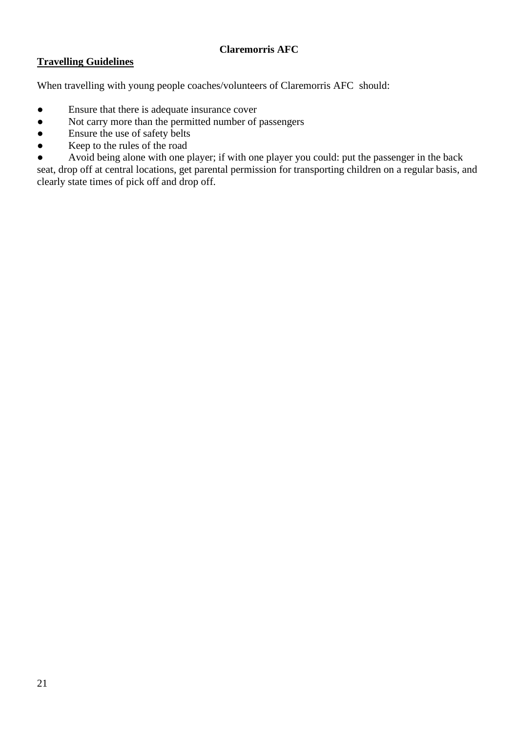# **Travelling Guidelines**

When travelling with young people coaches/volunteers of Claremorris AFC should:

- Ensure that there is adequate insurance cover
- Not carry more than the permitted number of passengers
- Ensure the use of safety belts
- Keep to the rules of the road
- Avoid being alone with one player; if with one player you could: put the passenger in the back

seat, drop off at central locations, get parental permission for transporting children on a regular basis, and clearly state times of pick off and drop off.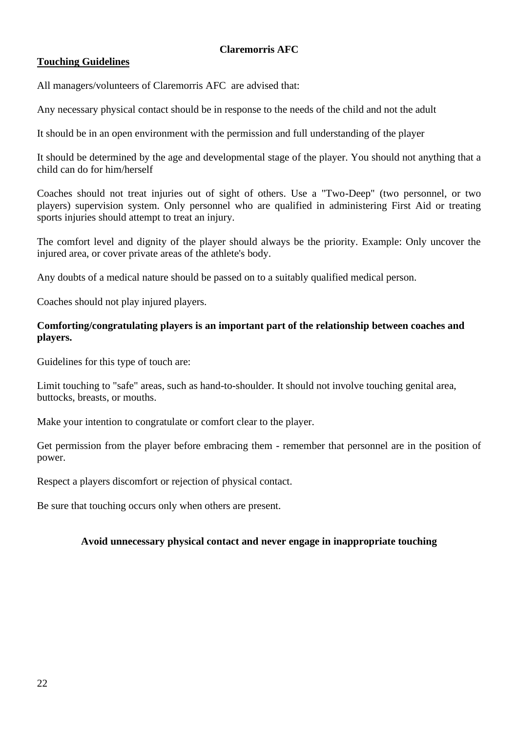# **Touching Guidelines**

All managers/volunteers of Claremorris AFC are advised that:

Any necessary physical contact should be in response to the needs of the child and not the adult

It should be in an open environment with the permission and full understanding of the player

It should be determined by the age and developmental stage of the player. You should not anything that a child can do for him/herself

Coaches should not treat injuries out of sight of others. Use a "Two-Deep" (two personnel, or two players) supervision system. Only personnel who are qualified in administering First Aid or treating sports injuries should attempt to treat an injury.

The comfort level and dignity of the player should always be the priority. Example: Only uncover the injured area, or cover private areas of the athlete's body.

Any doubts of a medical nature should be passed on to a suitably qualified medical person.

Coaches should not play injured players.

## **Comforting/congratulating players is an important part of the relationship between coaches and players.**

Guidelines for this type of touch are:

Limit touching to "safe" areas, such as hand-to-shoulder. It should not involve touching genital area, buttocks, breasts, or mouths.

Make your intention to congratulate or comfort clear to the player.

Get permission from the player before embracing them - remember that personnel are in the position of power.

Respect a players discomfort or rejection of physical contact.

Be sure that touching occurs only when others are present.

# **Avoid unnecessary physical contact and never engage in inappropriate touching**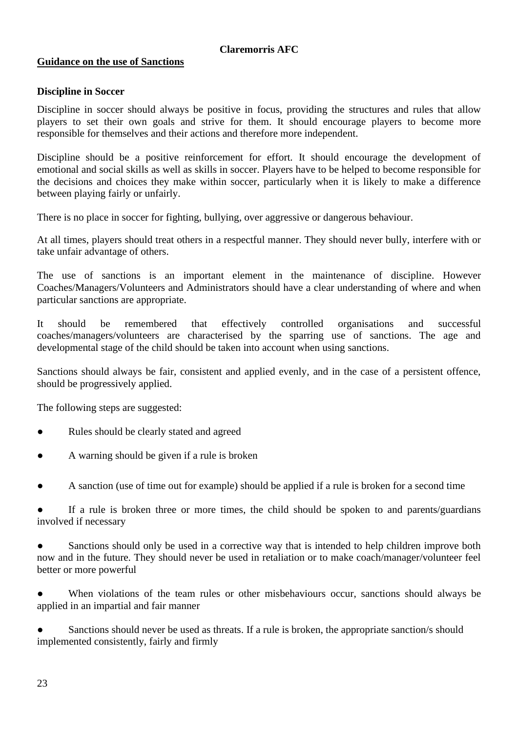# **Guidance on the use of Sanctions**

# **Discipline in Soccer**

Discipline in soccer should always be positive in focus, providing the structures and rules that allow players to set their own goals and strive for them. It should encourage players to become more responsible for themselves and their actions and therefore more independent.

Discipline should be a positive reinforcement for effort. It should encourage the development of emotional and social skills as well as skills in soccer. Players have to be helped to become responsible for the decisions and choices they make within soccer, particularly when it is likely to make a difference between playing fairly or unfairly.

There is no place in soccer for fighting, bullying, over aggressive or dangerous behaviour.

At all times, players should treat others in a respectful manner. They should never bully, interfere with or take unfair advantage of others.

The use of sanctions is an important element in the maintenance of discipline. However Coaches/Managers/Volunteers and Administrators should have a clear understanding of where and when particular sanctions are appropriate.

It should be remembered that effectively controlled organisations and successful coaches/managers/volunteers are characterised by the sparring use of sanctions. The age and developmental stage of the child should be taken into account when using sanctions.

Sanctions should always be fair, consistent and applied evenly, and in the case of a persistent offence, should be progressively applied.

The following steps are suggested:

- Rules should be clearly stated and agreed
- A warning should be given if a rule is broken
- A sanction (use of time out for example) should be applied if a rule is broken for a second time

If a rule is broken three or more times, the child should be spoken to and parents/guardians involved if necessary

• Sanctions should only be used in a corrective way that is intended to help children improve both now and in the future. They should never be used in retaliation or to make coach/manager/volunteer feel better or more powerful

● When violations of the team rules or other misbehaviours occur, sanctions should always be applied in an impartial and fair manner

Sanctions should never be used as threats. If a rule is broken, the appropriate sanction/s should implemented consistently, fairly and firmly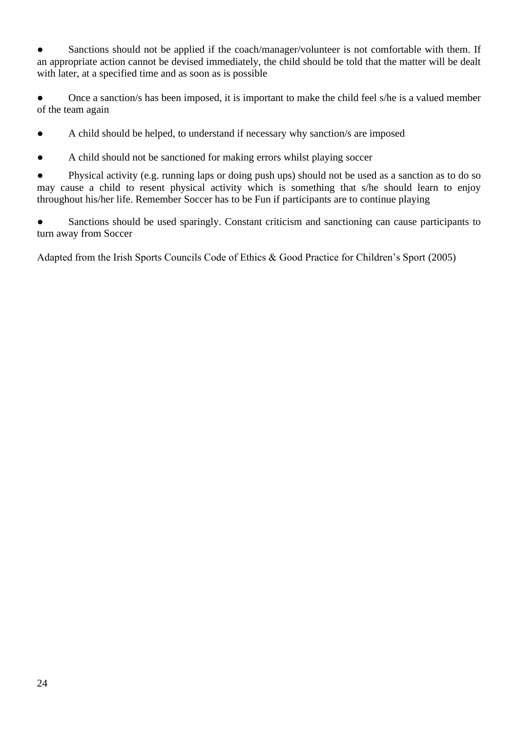• Sanctions should not be applied if the coach/manager/volunteer is not comfortable with them. If an appropriate action cannot be devised immediately, the child should be told that the matter will be dealt with later, at a specified time and as soon as is possible

Once a sanction/s has been imposed, it is important to make the child feel s/he is a valued member of the team again

● A child should be helped, to understand if necessary why sanction/s are imposed

● A child should not be sanctioned for making errors whilst playing soccer

● Physical activity (e.g. running laps or doing push ups) should not be used as a sanction as to do so may cause a child to resent physical activity which is something that s/he should learn to enjoy throughout his/her life. Remember Soccer has to be Fun if participants are to continue playing

• Sanctions should be used sparingly. Constant criticism and sanctioning can cause participants to turn away from Soccer

Adapted from the Irish Sports Councils Code of Ethics & Good Practice for Children's Sport (2005)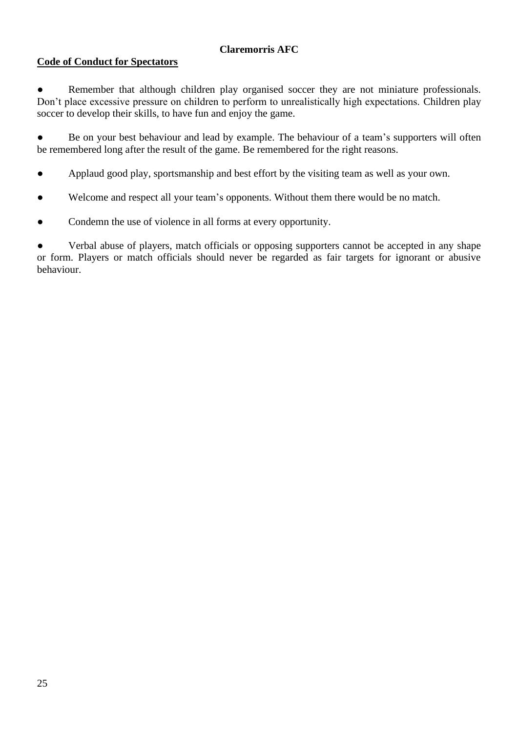# **Code of Conduct for Spectators**

● Remember that although children play organised soccer they are not miniature professionals. Don't place excessive pressure on children to perform to unrealistically high expectations. Children play soccer to develop their skills, to have fun and enjoy the game.

• Be on your best behaviour and lead by example. The behaviour of a team's supporters will often be remembered long after the result of the game. Be remembered for the right reasons.

- Applaud good play, sportsmanship and best effort by the visiting team as well as your own.
- Welcome and respect all your team's opponents. Without them there would be no match.
- Condemn the use of violence in all forms at every opportunity.

• Verbal abuse of players, match officials or opposing supporters cannot be accepted in any shape or form. Players or match officials should never be regarded as fair targets for ignorant or abusive behaviour.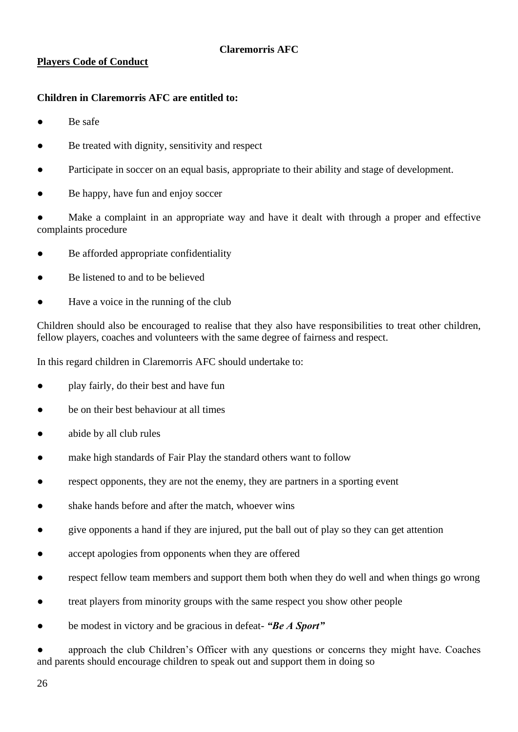# **Players Code of Conduct**

# **Children in Claremorris AFC are entitled to:**

- Be safe
- Be treated with dignity, sensitivity and respect
- Participate in soccer on an equal basis, appropriate to their ability and stage of development.
- Be happy, have fun and enjoy soccer

Make a complaint in an appropriate way and have it dealt with through a proper and effective complaints procedure

- Be afforded appropriate confidentiality
- Be listened to and to be believed
- Have a voice in the running of the club

Children should also be encouraged to realise that they also have responsibilities to treat other children, fellow players, coaches and volunteers with the same degree of fairness and respect.

In this regard children in Claremorris AFC should undertake to:

- play fairly, do their best and have fun
- be on their best behaviour at all times
- abide by all club rules
- make high standards of Fair Play the standard others want to follow
- respect opponents, they are not the enemy, they are partners in a sporting event
- shake hands before and after the match, whoever wins
- give opponents a hand if they are injured, put the ball out of play so they can get attention
- accept apologies from opponents when they are offered
- respect fellow team members and support them both when they do well and when things go wrong
- treat players from minority groups with the same respect you show other people
- be modest in victory and be gracious in defeat- "Be A Sport"

approach the club Children's Officer with any questions or concerns they might have. Coaches and parents should encourage children to speak out and support them in doing so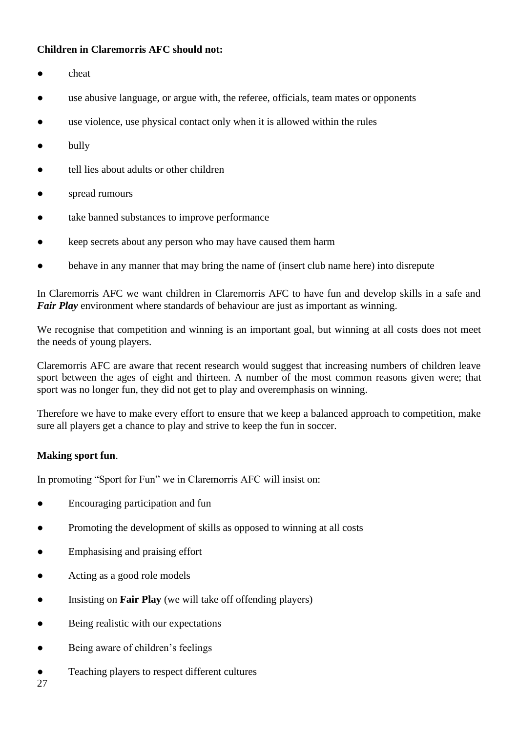## **Children in Claremorris AFC should not:**

- cheat
- use abusive language, or argue with, the referee, officials, team mates or opponents
- use violence, use physical contact only when it is allowed within the rules
- bully
- tell lies about adults or other children
- spread rumours
- take banned substances to improve performance
- keep secrets about any person who may have caused them harm
- behave in any manner that may bring the name of (insert club name here) into disrepute

In Claremorris AFC we want children in Claremorris AFC to have fun and develop skills in a safe and *Fair Play* environment where standards of behaviour are just as important as winning.

We recognise that competition and winning is an important goal, but winning at all costs does not meet the needs of young players.

Claremorris AFC are aware that recent research would suggest that increasing numbers of children leave sport between the ages of eight and thirteen. A number of the most common reasons given were; that sport was no longer fun, they did not get to play and overemphasis on winning.

Therefore we have to make every effort to ensure that we keep a balanced approach to competition, make sure all players get a chance to play and strive to keep the fun in soccer.

# **Making sport fun**.

In promoting "Sport for Fun" we in Claremorris AFC will insist on:

- Encouraging participation and fun
- Promoting the development of skills as opposed to winning at all costs
- Emphasising and praising effort
- Acting as a good role models
- Insisting on **Fair Play** (we will take off offending players)
- Being realistic with our expectations
- Being aware of children's feelings
- Teaching players to respect different cultures

27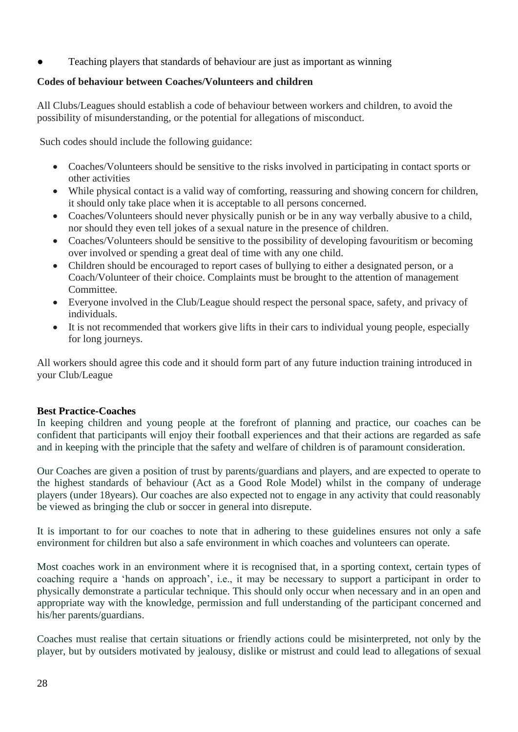Teaching players that standards of behaviour are just as important as winning

# **Codes of behaviour between Coaches/Volunteers and children**

All Clubs/Leagues should establish a code of behaviour between workers and children, to avoid the possibility of misunderstanding, or the potential for allegations of misconduct.

Such codes should include the following guidance:

- Coaches/Volunteers should be sensitive to the risks involved in participating in contact sports or other activities
- While physical contact is a valid way of comforting, reassuring and showing concern for children, it should only take place when it is acceptable to all persons concerned.
- Coaches/Volunteers should never physically punish or be in any way verbally abusive to a child, nor should they even tell jokes of a sexual nature in the presence of children.
- Coaches/Volunteers should be sensitive to the possibility of developing favouritism or becoming over involved or spending a great deal of time with any one child.
- Children should be encouraged to report cases of bullying to either a designated person, or a Coach/Volunteer of their choice. Complaints must be brought to the attention of management Committee.
- Everyone involved in the Club/League should respect the personal space, safety, and privacy of individuals.
- It is not recommended that workers give lifts in their cars to individual young people, especially for long journeys.

All workers should agree this code and it should form part of any future induction training introduced in your Club/League

# **Best Practice-Coaches**

In keeping children and young people at the forefront of planning and practice, our coaches can be confident that participants will enjoy their football experiences and that their actions are regarded as safe and in keeping with the principle that the safety and welfare of children is of paramount consideration.

Our Coaches are given a position of trust by parents/guardians and players, and are expected to operate to the highest standards of behaviour (Act as a Good Role Model) whilst in the company of underage players (under 18years). Our coaches are also expected not to engage in any activity that could reasonably be viewed as bringing the club or soccer in general into disrepute.

It is important to for our coaches to note that in adhering to these guidelines ensures not only a safe environment for children but also a safe environment in which coaches and volunteers can operate.

Most coaches work in an environment where it is recognised that, in a sporting context, certain types of coaching require a 'hands on approach', i.e., it may be necessary to support a participant in order to physically demonstrate a particular technique. This should only occur when necessary and in an open and appropriate way with the knowledge, permission and full understanding of the participant concerned and his/her parents/guardians.

Coaches must realise that certain situations or friendly actions could be misinterpreted, not only by the player, but by outsiders motivated by jealousy, dislike or mistrust and could lead to allegations of sexual